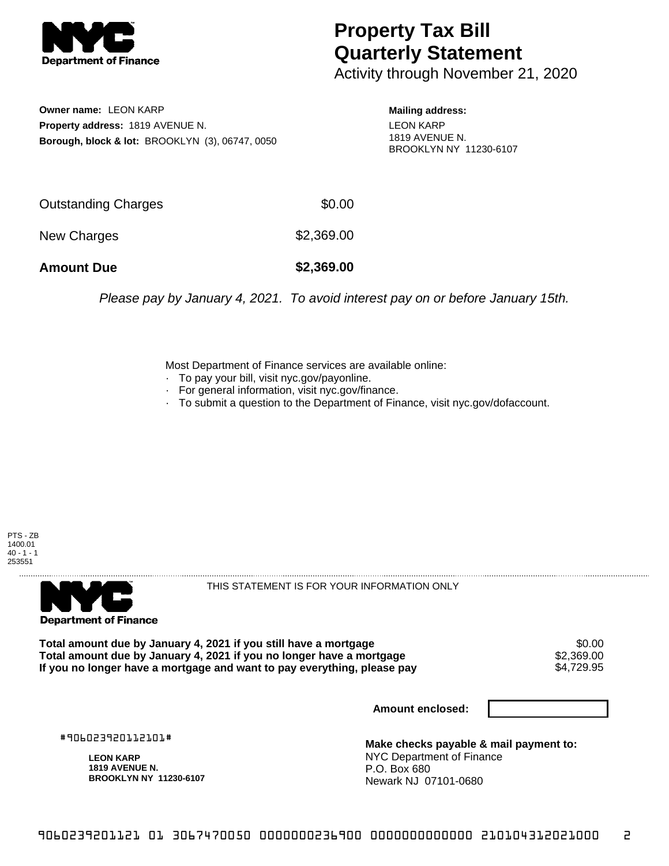

## **Property Tax Bill Quarterly Statement**

Activity through November 21, 2020

**Owner name:** LEON KARP **Property address:** 1819 AVENUE N. **Borough, block & lot:** BROOKLYN (3), 06747, 0050 **Mailing address:** LEON KARP 1819 AVENUE N. BROOKLYN NY 11230-6107

| <b>Amount Due</b>          | \$2,369.00 |
|----------------------------|------------|
| New Charges                | \$2,369.00 |
| <b>Outstanding Charges</b> | \$0.00     |

Please pay by January 4, 2021. To avoid interest pay on or before January 15th.

Most Department of Finance services are available online:

- · To pay your bill, visit nyc.gov/payonline.
- For general information, visit nyc.gov/finance.
- · To submit a question to the Department of Finance, visit nyc.gov/dofaccount.





THIS STATEMENT IS FOR YOUR INFORMATION ONLY

Total amount due by January 4, 2021 if you still have a mortgage \$0.00<br>Total amount due by January 4, 2021 if you no longer have a mortgage \$2.369.00 **Total amount due by January 4, 2021 if you no longer have a mortgage**  $$2,369.00$ **<br>If you no longer have a mortgage and want to pay everything, please pay**  $$4.729.95$ If you no longer have a mortgage and want to pay everything, please pay

**Amount enclosed:**

#906023920112101#

**LEON KARP 1819 AVENUE N. BROOKLYN NY 11230-6107**

**Make checks payable & mail payment to:** NYC Department of Finance P.O. Box 680 Newark NJ 07101-0680